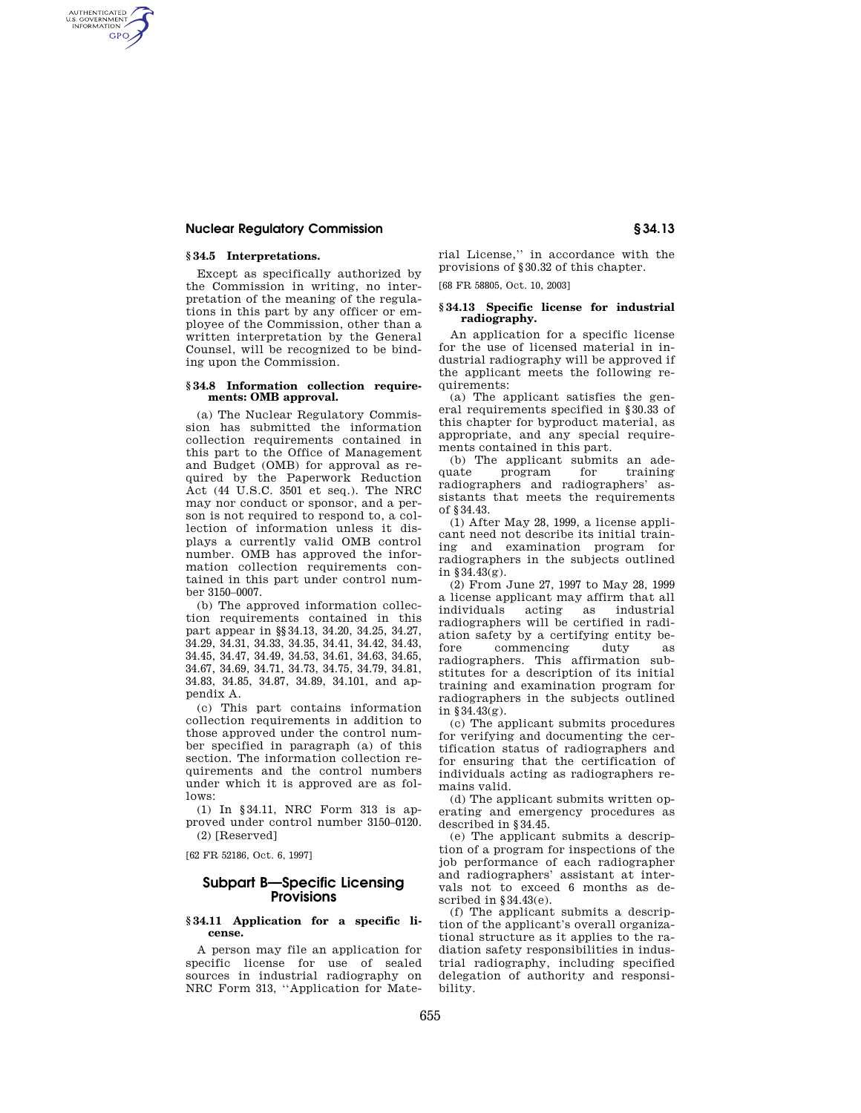## **Nuclear Regulatory Commission § 34.13**

# **§ 34.5 Interpretations.**

AUTHENTICATED<br>U.S. GOVERNMENT<br>INFORMATION **GPO** 

> Except as specifically authorized by the Commission in writing, no interpretation of the meaning of the regulations in this part by any officer or employee of the Commission, other than a written interpretation by the General Counsel, will be recognized to be binding upon the Commission.

#### **§ 34.8 Information collection requirements: OMB approval.**

(a) The Nuclear Regulatory Commission has submitted the information collection requirements contained in this part to the Office of Management and Budget (OMB) for approval as required by the Paperwork Reduction Act (44 U.S.C. 3501 et seq.). The NRC may nor conduct or sponsor, and a person is not required to respond to, a collection of information unless it displays a currently valid OMB control number. OMB has approved the information collection requirements contained in this part under control number 3150–0007.

(b) The approved information collection requirements contained in this part appear in §§34.13, 34.20, 34.25, 34.27, 34.29, 34.31, 34.33, 34.35, 34.41, 34.42, 34.43, 34.45, 34.47, 34.49, 34.53, 34.61, 34.63, 34.65, 34.67, 34.69, 34.71, 34.73, 34.75, 34.79, 34.81, 34.83, 34.85, 34.87, 34.89, 34.101, and appendix A.

(c) This part contains information collection requirements in addition to those approved under the control number specified in paragraph (a) of this section. The information collection requirements and the control numbers under which it is approved are as follows:

(1) In §34.11, NRC Form 313 is approved under control number 3150–0120. (2) [Reserved]

[62 FR 52186, Oct. 6, 1997]

# **Subpart B—Specific Licensing Provisions**

#### **§ 34.11 Application for a specific license.**

A person may file an application for specific license for use of sealed sources in industrial radiography on NRC Form 313, ''Application for Material License,'' in accordance with the provisions of §30.32 of this chapter.

[68 FR 58805, Oct. 10, 2003]

### **§ 34.13 Specific license for industrial radiography.**

An application for a specific license for the use of licensed material in industrial radiography will be approved if the applicant meets the following requirements:

(a) The applicant satisfies the general requirements specified in §30.33 of this chapter for byproduct material, as appropriate, and any special requirements contained in this part.

(b) The applicant submits an adequate program for training radiographers and radiographers' assistants that meets the requirements of §34.43.

(1) After May 28, 1999, a license applicant need not describe its initial training and examination program for radiographers in the subjects outlined in §34.43(g).

(2) From June 27, 1997 to May 28, 1999 a license applicant may affirm that all<br>individuals acting as industrial acting as radiographers will be certified in radiation safety by a certifying entity before commencing duty as radiographers. This affirmation substitutes for a description of its initial training and examination program for radiographers in the subjects outlined in §34.43(g).

(c) The applicant submits procedures for verifying and documenting the certification status of radiographers and for ensuring that the certification of individuals acting as radiographers remains valid.

(d) The applicant submits written operating and emergency procedures as described in §34.45.

(e) The applicant submits a description of a program for inspections of the job performance of each radiographer and radiographers' assistant at intervals not to exceed 6 months as described in  $§34.43(e)$ .

(f) The applicant submits a description of the applicant's overall organizational structure as it applies to the radiation safety responsibilities in industrial radiography, including specified delegation of authority and responsibility.